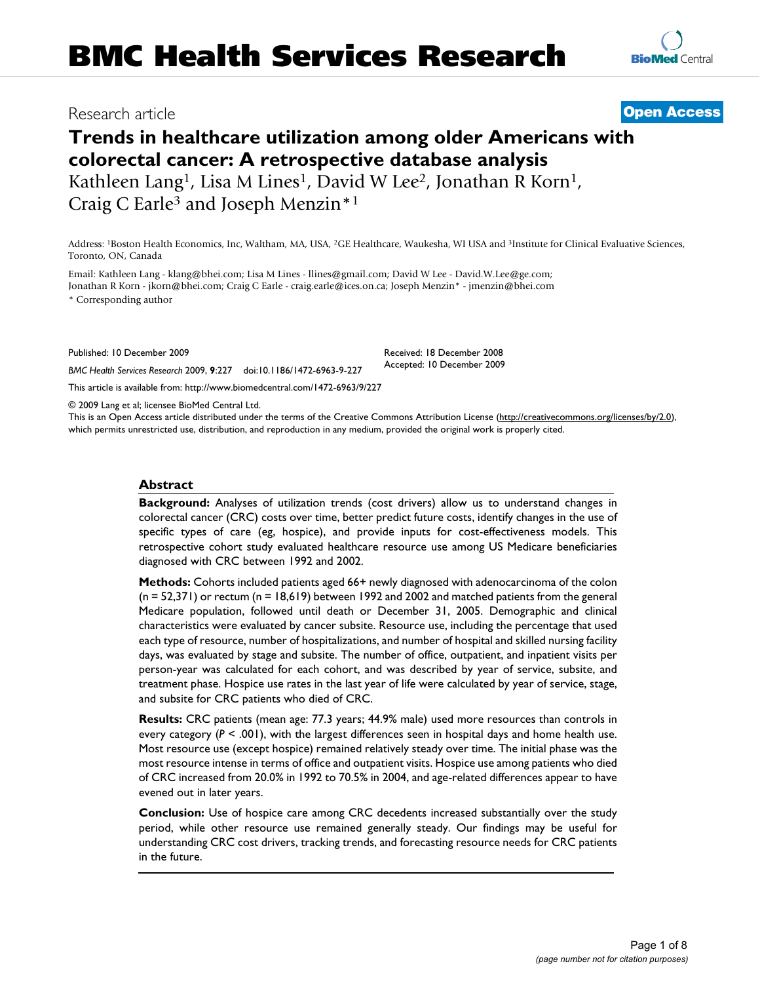# Research article **[Open Access](http://www.biomedcentral.com/info/about/charter/)**

# **Trends in healthcare utilization among older Americans with colorectal cancer: A retrospective database analysis** Kathleen Lang<sup>1</sup>, Lisa M Lines<sup>1</sup>, David W Lee<sup>2</sup>, Jonathan R Korn<sup>1</sup>, Craig C Earle3 and Joseph Menzin\*1

Address: 1Boston Health Economics, Inc, Waltham, MA, USA, 2GE Healthcare, Waukesha, WI USA and 3Institute for Clinical Evaluative Sciences, Toronto, ON, Canada

Email: Kathleen Lang - klang@bhei.com; Lisa M Lines - llines@gmail.com; David W Lee - David.W.Lee@ge.com; Jonathan R Korn - jkorn@bhei.com; Craig C Earle - craig.earle@ices.on.ca; Joseph Menzin\* - jmenzin@bhei.com \* Corresponding author

Published: 10 December 2009

*BMC Health Services Research* 2009, **9**:227 doi:10.1186/1472-6963-9-227

[This article is available from: http://www.biomedcentral.com/1472-6963/9/227](http://www.biomedcentral.com/1472-6963/9/227)

© 2009 Lang et al; licensee BioMed Central Ltd.

This is an Open Access article distributed under the terms of the Creative Commons Attribution License [\(http://creativecommons.org/licenses/by/2.0\)](http://creativecommons.org/licenses/by/2.0), which permits unrestricted use, distribution, and reproduction in any medium, provided the original work is properly cited.

Received: 18 December 2008 Accepted: 10 December 2009

# **Abstract**

**Background:** Analyses of utilization trends (cost drivers) allow us to understand changes in colorectal cancer (CRC) costs over time, better predict future costs, identify changes in the use of specific types of care (eg, hospice), and provide inputs for cost-effectiveness models. This retrospective cohort study evaluated healthcare resource use among US Medicare beneficiaries diagnosed with CRC between 1992 and 2002.

**Methods:** Cohorts included patients aged 66+ newly diagnosed with adenocarcinoma of the colon  $(n = 52,371)$  or rectum  $(n = 18,619)$  between 1992 and 2002 and matched patients from the general Medicare population, followed until death or December 31, 2005. Demographic and clinical characteristics were evaluated by cancer subsite. Resource use, including the percentage that used each type of resource, number of hospitalizations, and number of hospital and skilled nursing facility days, was evaluated by stage and subsite. The number of office, outpatient, and inpatient visits per person-year was calculated for each cohort, and was described by year of service, subsite, and treatment phase. Hospice use rates in the last year of life were calculated by year of service, stage, and subsite for CRC patients who died of CRC.

**Results:** CRC patients (mean age: 77.3 years; 44.9% male) used more resources than controls in every category ( $P < .001$ ), with the largest differences seen in hospital days and home health use. Most resource use (except hospice) remained relatively steady over time. The initial phase was the most resource intense in terms of office and outpatient visits. Hospice use among patients who died of CRC increased from 20.0% in 1992 to 70.5% in 2004, and age-related differences appear to have evened out in later years.

**Conclusion:** Use of hospice care among CRC decedents increased substantially over the study period, while other resource use remained generally steady. Our findings may be useful for understanding CRC cost drivers, tracking trends, and forecasting resource needs for CRC patients in the future.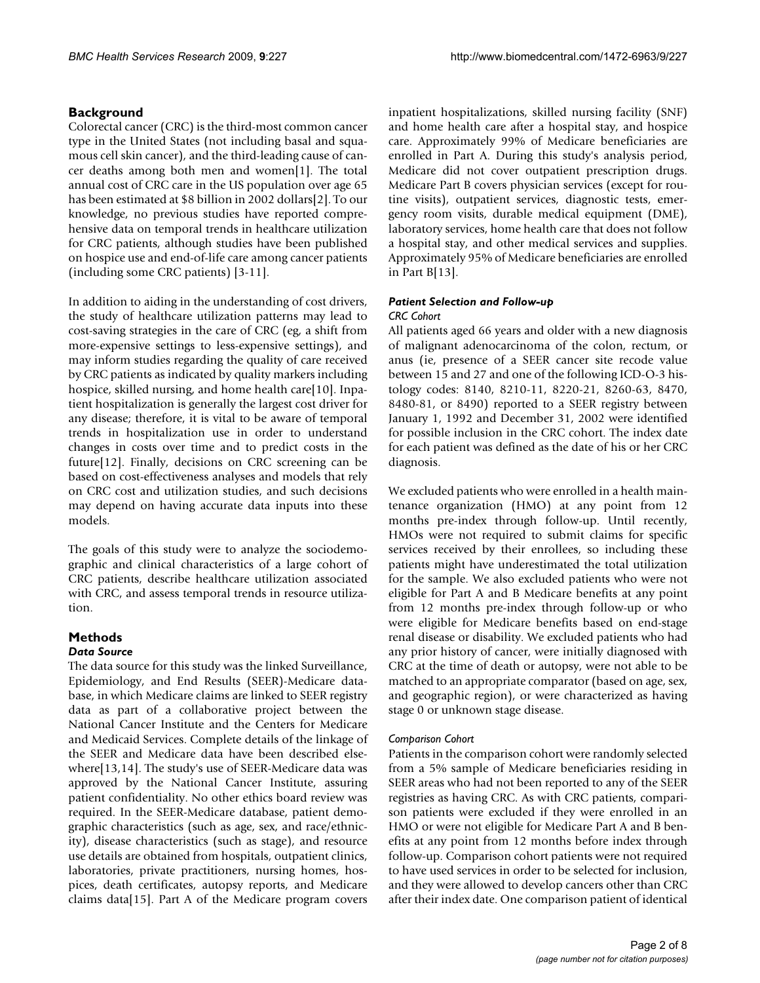# **Background**

Colorectal cancer (CRC) is the third-most common cancer type in the United States (not including basal and squamous cell skin cancer), and the third-leading cause of cancer deaths among both men and women[\[1](#page-7-0)]. The total annual cost of CRC care in the US population over age 65 has been estimated at \$8 billion in 2002 dollars[\[2\]](#page-7-1). To our knowledge, no previous studies have reported comprehensive data on temporal trends in healthcare utilization for CRC patients, although studies have been published on hospice use and end-of-life care among cancer patients (including some CRC patients) [\[3](#page-7-2)[-11](#page-7-3)].

In addition to aiding in the understanding of cost drivers, the study of healthcare utilization patterns may lead to cost-saving strategies in the care of CRC (eg, a shift from more-expensive settings to less-expensive settings), and may inform studies regarding the quality of care received by CRC patients as indicated by quality markers including hospice, skilled nursing, and home health care[\[10](#page-7-4)]. Inpatient hospitalization is generally the largest cost driver for any disease; therefore, it is vital to be aware of temporal trends in hospitalization use in order to understand changes in costs over time and to predict costs in the future[[12\]](#page-7-5). Finally, decisions on CRC screening can be based on cost-effectiveness analyses and models that rely on CRC cost and utilization studies, and such decisions may depend on having accurate data inputs into these models.

The goals of this study were to analyze the sociodemographic and clinical characteristics of a large cohort of CRC patients, describe healthcare utilization associated with CRC, and assess temporal trends in resource utilization.

# **Methods**

# *Data Source*

The data source for this study was the linked Surveillance, Epidemiology, and End Results (SEER)-Medicare database, in which Medicare claims are linked to SEER registry data as part of a collaborative project between the National Cancer Institute and the Centers for Medicare and Medicaid Services. Complete details of the linkage of the SEER and Medicare data have been described elsewhere[\[13](#page-7-6)[,14](#page-7-7)]. The study's use of SEER-Medicare data was approved by the National Cancer Institute, assuring patient confidentiality. No other ethics board review was required. In the SEER-Medicare database, patient demographic characteristics (such as age, sex, and race/ethnicity), disease characteristics (such as stage), and resource use details are obtained from hospitals, outpatient clinics, laboratories, private practitioners, nursing homes, hospices, death certificates, autopsy reports, and Medicare claims data[\[15](#page-7-8)]. Part A of the Medicare program covers

inpatient hospitalizations, skilled nursing facility (SNF) and home health care after a hospital stay, and hospice care. Approximately 99% of Medicare beneficiaries are enrolled in Part A. During this study's analysis period, Medicare did not cover outpatient prescription drugs. Medicare Part B covers physician services (except for routine visits), outpatient services, diagnostic tests, emergency room visits, durable medical equipment (DME), laboratory services, home health care that does not follow a hospital stay, and other medical services and supplies. Approximately 95% of Medicare beneficiaries are enrolled in Part B[[13\]](#page-7-6).

#### *Patient Selection and Follow-up CRC Cohort*

All patients aged 66 years and older with a new diagnosis of malignant adenocarcinoma of the colon, rectum, or anus (ie, presence of a SEER cancer site recode value between 15 and 27 and one of the following ICD-O-3 histology codes: 8140, 8210-11, 8220-21, 8260-63, 8470, 8480-81, or 8490) reported to a SEER registry between January 1, 1992 and December 31, 2002 were identified for possible inclusion in the CRC cohort. The index date for each patient was defined as the date of his or her CRC diagnosis.

We excluded patients who were enrolled in a health maintenance organization (HMO) at any point from 12 months pre-index through follow-up. Until recently, HMOs were not required to submit claims for specific services received by their enrollees, so including these patients might have underestimated the total utilization for the sample. We also excluded patients who were not eligible for Part A and B Medicare benefits at any point from 12 months pre-index through follow-up or who were eligible for Medicare benefits based on end-stage renal disease or disability. We excluded patients who had any prior history of cancer, were initially diagnosed with CRC at the time of death or autopsy, were not able to be matched to an appropriate comparator (based on age, sex, and geographic region), or were characterized as having stage 0 or unknown stage disease.

#### *Comparison Cohort*

Patients in the comparison cohort were randomly selected from a 5% sample of Medicare beneficiaries residing in SEER areas who had not been reported to any of the SEER registries as having CRC. As with CRC patients, comparison patients were excluded if they were enrolled in an HMO or were not eligible for Medicare Part A and B benefits at any point from 12 months before index through follow-up. Comparison cohort patients were not required to have used services in order to be selected for inclusion, and they were allowed to develop cancers other than CRC after their index date. One comparison patient of identical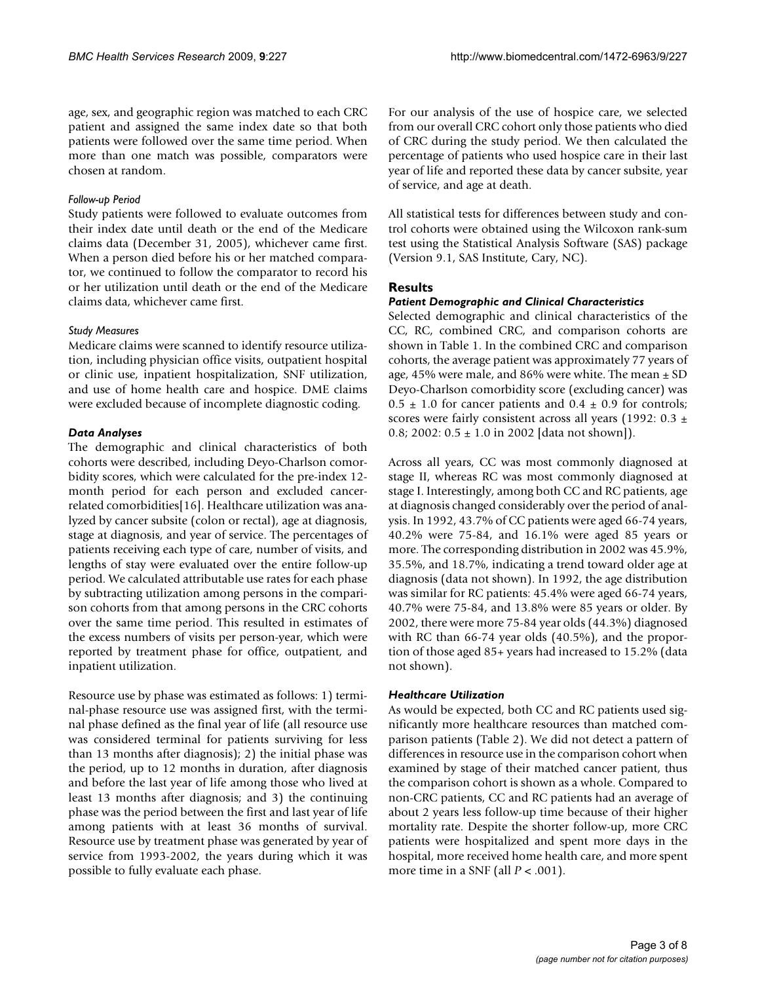age, sex, and geographic region was matched to each CRC patient and assigned the same index date so that both patients were followed over the same time period. When more than one match was possible, comparators were chosen at random.

# *Follow-up Period*

Study patients were followed to evaluate outcomes from their index date until death or the end of the Medicare claims data (December 31, 2005), whichever came first. When a person died before his or her matched comparator, we continued to follow the comparator to record his or her utilization until death or the end of the Medicare claims data, whichever came first.

# *Study Measures*

Medicare claims were scanned to identify resource utilization, including physician office visits, outpatient hospital or clinic use, inpatient hospitalization, SNF utilization, and use of home health care and hospice. DME claims were excluded because of incomplete diagnostic coding.

# *Data Analyses*

The demographic and clinical characteristics of both cohorts were described, including Deyo-Charlson comorbidity scores, which were calculated for the pre-index 12 month period for each person and excluded cancerrelated comorbidities[[16\]](#page-7-9). Healthcare utilization was analyzed by cancer subsite (colon or rectal), age at diagnosis, stage at diagnosis, and year of service. The percentages of patients receiving each type of care, number of visits, and lengths of stay were evaluated over the entire follow-up period. We calculated attributable use rates for each phase by subtracting utilization among persons in the comparison cohorts from that among persons in the CRC cohorts over the same time period. This resulted in estimates of the excess numbers of visits per person-year, which were reported by treatment phase for office, outpatient, and inpatient utilization.

Resource use by phase was estimated as follows: 1) terminal-phase resource use was assigned first, with the terminal phase defined as the final year of life (all resource use was considered terminal for patients surviving for less than 13 months after diagnosis); 2) the initial phase was the period, up to 12 months in duration, after diagnosis and before the last year of life among those who lived at least 13 months after diagnosis; and 3) the continuing phase was the period between the first and last year of life among patients with at least 36 months of survival. Resource use by treatment phase was generated by year of service from 1993-2002, the years during which it was possible to fully evaluate each phase.

For our analysis of the use of hospice care, we selected from our overall CRC cohort only those patients who died of CRC during the study period. We then calculated the percentage of patients who used hospice care in their last year of life and reported these data by cancer subsite, year of service, and age at death.

All statistical tests for differences between study and control cohorts were obtained using the Wilcoxon rank-sum test using the Statistical Analysis Software (SAS) package (Version 9.1, SAS Institute, Cary, NC).

# **Results**

# *Patient Demographic and Clinical Characteristics*

Selected demographic and clinical characteristics of the CC, RC, combined CRC, and comparison cohorts are shown in Table [1.](#page-3-0) In the combined CRC and comparison cohorts, the average patient was approximately 77 years of age, 45% were male, and 86% were white. The mean  $\pm$  SD Deyo-Charlson comorbidity score (excluding cancer) was  $0.5 \pm 1.0$  for cancer patients and  $0.4 \pm 0.9$  for controls; scores were fairly consistent across all years (1992:  $0.3 \pm$ 0.8; 2002:  $0.5 \pm 1.0$  in 2002 [data not shown]).

Across all years, CC was most commonly diagnosed at stage II, whereas RC was most commonly diagnosed at stage I. Interestingly, among both CC and RC patients, age at diagnosis changed considerably over the period of analysis. In 1992, 43.7% of CC patients were aged 66-74 years, 40.2% were 75-84, and 16.1% were aged 85 years or more. The corresponding distribution in 2002 was 45.9%, 35.5%, and 18.7%, indicating a trend toward older age at diagnosis (data not shown). In 1992, the age distribution was similar for RC patients: 45.4% were aged 66-74 years, 40.7% were 75-84, and 13.8% were 85 years or older. By 2002, there were more 75-84 year olds (44.3%) diagnosed with RC than 66-74 year olds (40.5%), and the proportion of those aged 85+ years had increased to 15.2% (data not shown).

#### *Healthcare Utilization*

As would be expected, both CC and RC patients used significantly more healthcare resources than matched comparison patients (Table [2](#page-4-0)). We did not detect a pattern of differences in resource use in the comparison cohort when examined by stage of their matched cancer patient, thus the comparison cohort is shown as a whole. Compared to non-CRC patients, CC and RC patients had an average of about 2 years less follow-up time because of their higher mortality rate. Despite the shorter follow-up, more CRC patients were hospitalized and spent more days in the hospital, more received home health care, and more spent more time in a SNF (all *P* < .001).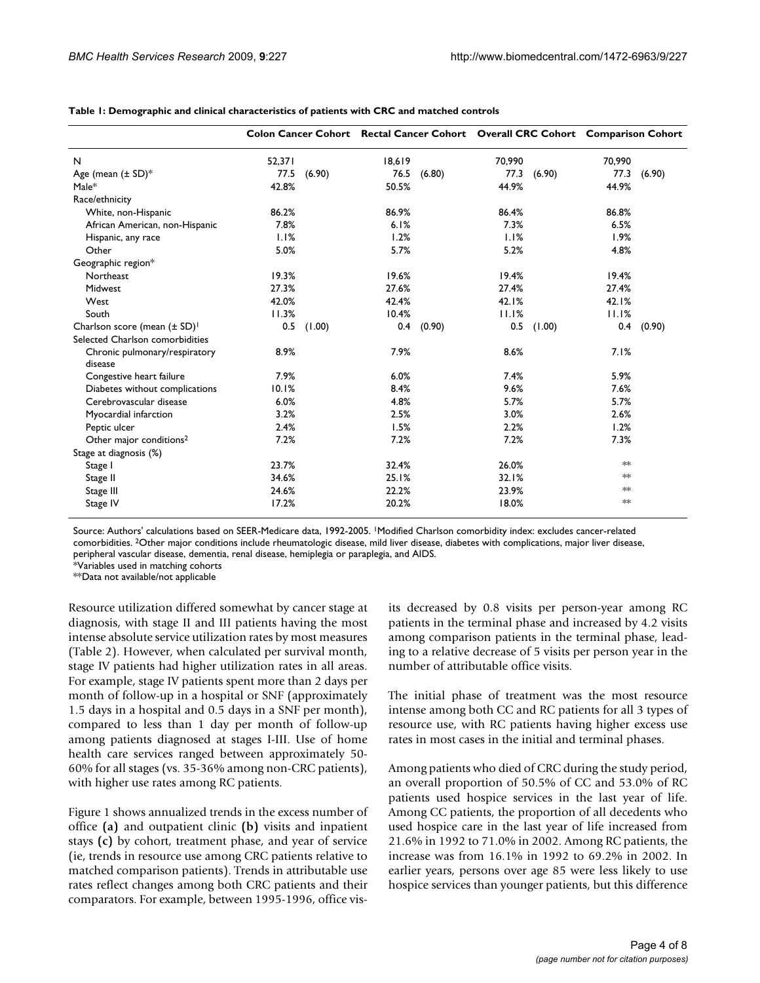|                                          | Colon Cancer Cohort Rectal Cancer Cohort Overall CRC Cohort Comparison Cohort |        |        |        |        |        |        |        |
|------------------------------------------|-------------------------------------------------------------------------------|--------|--------|--------|--------|--------|--------|--------|
| N                                        | 52,371                                                                        |        | 18,619 |        | 70,990 |        | 70,990 |        |
| Age (mean $(\pm SD)^*$                   | 77.5                                                                          | (6.90) | 76.5   | (6.80) | 77.3   | (6.90) | 77.3   | (6.90) |
| $Male*$                                  | 42.8%                                                                         |        | 50.5%  |        | 44.9%  |        | 44.9%  |        |
| Race/ethnicity                           |                                                                               |        |        |        |        |        |        |        |
| White, non-Hispanic                      | 86.2%                                                                         |        | 86.9%  |        | 86.4%  |        | 86.8%  |        |
| African American, non-Hispanic           | 7.8%                                                                          |        | 6.1%   |        | 7.3%   |        | 6.5%   |        |
| Hispanic, any race                       | 1.1%                                                                          |        | 1.2%   |        | 1.1%   |        | 1.9%   |        |
| Other                                    | 5.0%                                                                          |        | 5.7%   |        | 5.2%   |        | 4.8%   |        |
| Geographic region*                       |                                                                               |        |        |        |        |        |        |        |
| Northeast                                | 19.3%                                                                         |        | 19.6%  |        | 19.4%  |        | 19.4%  |        |
| Midwest                                  | 27.3%                                                                         |        | 27.6%  |        | 27.4%  |        | 27.4%  |        |
| West                                     | 42.0%                                                                         |        | 42.4%  |        | 42.1%  |        | 42.1%  |        |
| South                                    | 11.3%                                                                         |        | 10.4%  |        | 11.1%  |        | 11.1%  |        |
| Charlson score (mean (± SD) <sup>1</sup> | 0.5                                                                           | (1.00) | 0.4    | (0.90) | 0.5    | (1.00) | 0.4    | (0.90) |
| Selected Charlson comorbidities          |                                                                               |        |        |        |        |        |        |        |
| Chronic pulmonary/respiratory<br>disease | 8.9%                                                                          |        | 7.9%   |        | 8.6%   |        | 7.1%   |        |
| Congestive heart failure                 | 7.9%                                                                          |        | 6.0%   |        | 7.4%   |        | 5.9%   |        |
| Diabetes without complications           | 10.1%                                                                         |        | 8.4%   |        | 9.6%   |        | 7.6%   |        |
| Cerebrovascular disease                  | 6.0%                                                                          |        | 4.8%   |        | 5.7%   |        | 5.7%   |        |
| Myocardial infarction                    | 3.2%                                                                          |        | 2.5%   |        | 3.0%   |        | 2.6%   |        |
| Peptic ulcer                             | 2.4%                                                                          |        | 1.5%   |        | 2.2%   |        | 1.2%   |        |
| Other major conditions <sup>2</sup>      | 7.2%                                                                          |        | 7.2%   |        | 7.2%   |        | 7.3%   |        |
| Stage at diagnosis (%)                   |                                                                               |        |        |        |        |        |        |        |
| Stage I                                  | 23.7%                                                                         |        | 32.4%  |        | 26.0%  |        | $*$    |        |
| Stage II                                 | 34.6%                                                                         |        | 25.1%  |        | 32.1%  |        | $*$    |        |
| Stage III                                | 24.6%                                                                         |        | 22.2%  |        | 23.9%  |        | ≭×     |        |
| Stage IV                                 | 17.2%                                                                         |        | 20.2%  |        | 18.0%  |        | **     |        |

<span id="page-3-0"></span>**Table 1: Demographic and clinical characteristics of patients with CRC and matched controls**

Source: Authors' calculations based on SEER-Medicare data, 1992-2005. 1Modified Charlson comorbidity index: excludes cancer-related comorbidities. 2Other major conditions include rheumatologic disease, mild liver disease, diabetes with complications, major liver disease, peripheral vascular disease, dementia, renal disease, hemiplegia or paraplegia, and AIDS.

\*Variables used in matching cohorts

\*\*Data not available/not applicable

Resource utilization differed somewhat by cancer stage at diagnosis, with stage II and III patients having the most intense absolute service utilization rates by most measures (Table [2](#page-4-0)). However, when calculated per survival month, stage IV patients had higher utilization rates in all areas. For example, stage IV patients spent more than 2 days per month of follow-up in a hospital or SNF (approximately 1.5 days in a hospital and 0.5 days in a SNF per month), compared to less than 1 day per month of follow-up among patients diagnosed at stages I-III. Use of home health care services ranged between approximately 50- 60% for all stages (vs. 35-36% among non-CRC patients), with higher use rates among RC patients.

Figure [1](#page-5-0) shows annualized trends in the excess number of office **(a)** and outpatient clinic **(b)** visits and inpatient stays **(c)** by cohort, treatment phase, and year of service (ie, trends in resource use among CRC patients relative to matched comparison patients). Trends in attributable use rates reflect changes among both CRC patients and their comparators. For example, between 1995-1996, office visits decreased by 0.8 visits per person-year among RC patients in the terminal phase and increased by 4.2 visits among comparison patients in the terminal phase, leading to a relative decrease of 5 visits per person year in the number of attributable office visits.

The initial phase of treatment was the most resource intense among both CC and RC patients for all 3 types of resource use, with RC patients having higher excess use rates in most cases in the initial and terminal phases.

Among patients who died of CRC during the study period, an overall proportion of 50.5% of CC and 53.0% of RC patients used hospice services in the last year of life. Among CC patients, the proportion of all decedents who used hospice care in the last year of life increased from 21.6% in 1992 to 71.0% in 2002. Among RC patients, the increase was from 16.1% in 1992 to 69.2% in 2002. In earlier years, persons over age 85 were less likely to use hospice services than younger patients, but this difference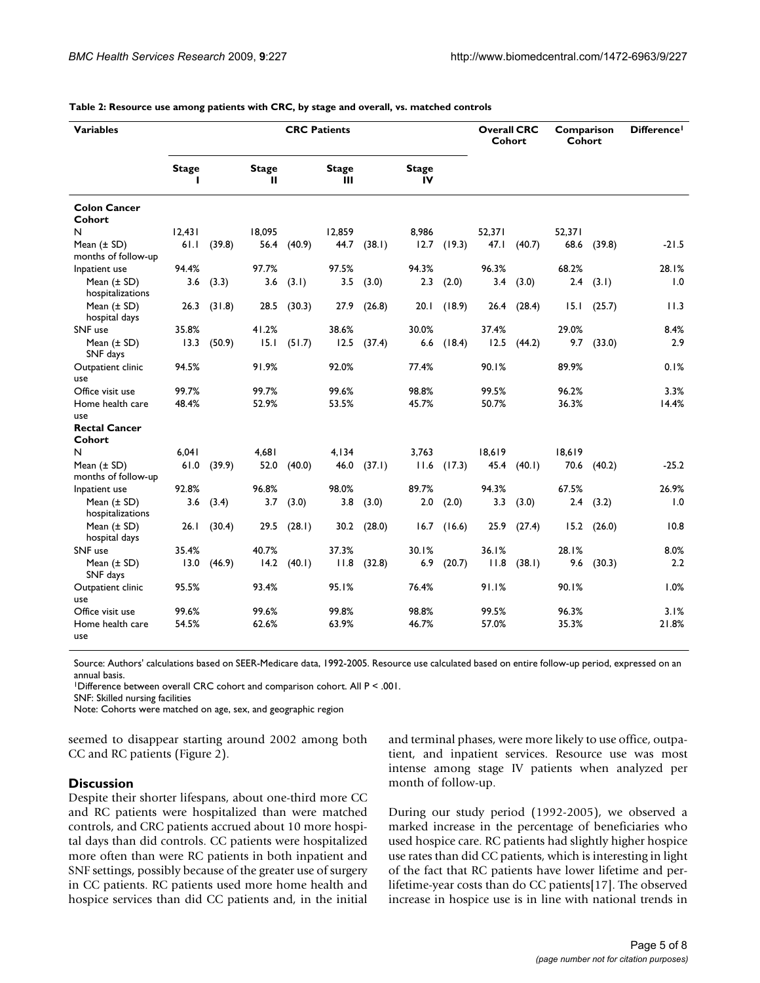| <b>Variables</b>                       | <b>CRC Patients</b> |        |                   |        |                   |        |                    | <b>Overall CRC</b><br>Cohort |        | Comparison<br>Cohort |        | Difference <sup>1</sup> |         |
|----------------------------------------|---------------------|--------|-------------------|--------|-------------------|--------|--------------------|------------------------------|--------|----------------------|--------|-------------------------|---------|
|                                        | <b>Stage</b><br>ı   |        | <b>Stage</b><br>Ш |        | <b>Stage</b><br>Ш |        | <b>Stage</b><br>IV |                              |        |                      |        |                         |         |
| <b>Colon Cancer</b><br>Cohort          |                     |        |                   |        |                   |        |                    |                              |        |                      |        |                         |         |
| N                                      | 12,431              |        | 18,095            |        | 12,859            |        | 8,986              |                              | 52,371 |                      | 52,371 |                         |         |
| Mean $(\pm SD)$<br>months of follow-up | 61.1                | (39.8) | 56.4              | (40.9) | 44.7              | (38.1) | 12.7               | (19.3)                       | 47.1   | (40.7)               | 68.6   | (39.8)                  | $-21.5$ |
| Inpatient use                          | 94.4%               |        | 97.7%             |        | 97.5%             |        | 94.3%              |                              | 96.3%  |                      | 68.2%  |                         | 28.1%   |
| Mean (± SD)<br>hospitalizations        | 3.6                 | (3.3)  | 3.6               | (3.1)  | 3.5               | (3.0)  | 2.3                | (2.0)                        | 3.4    | (3.0)                | 2.4    | (3.1)                   | 1.0     |
| Mean $(\pm SD)$<br>hospital days       | 26.3                | (31.8) | 28.5              | (30.3) | 27.9              | (26.8) | 20.1               | (18.9)                       | 26.4   | (28.4)               | 15.1   | (25.7)                  | 11.3    |
| SNF use                                | 35.8%               |        | 41.2%             |        | 38.6%             |        | 30.0%              |                              | 37.4%  |                      | 29.0%  |                         | 8.4%    |
| Mean $(\pm SD)$<br>SNF days            | 13.3                | (50.9) | 15.1              | (51.7) | 12.5              | (37.4) | 6.6                | (18.4)                       | 12.5   | (44.2)               | 9.7    | (33.0)                  | 2.9     |
| Outpatient clinic<br>use               | 94.5%               |        | 91.9%             |        | 92.0%             |        | 77.4%              |                              | 90.1%  |                      | 89.9%  |                         | 0.1%    |
| Office visit use                       | 99.7%               |        | 99.7%             |        | 99.6%             |        | 98.8%              |                              | 99.5%  |                      | 96.2%  |                         | 3.3%    |
| Home health care                       | 48.4%               |        | 52.9%             |        | 53.5%             |        | 45.7%              |                              | 50.7%  |                      | 36.3%  |                         | 14.4%   |
| use                                    |                     |        |                   |        |                   |        |                    |                              |        |                      |        |                         |         |
| <b>Rectal Cancer</b><br>Cohort         |                     |        |                   |        |                   |        |                    |                              |        |                      |        |                         |         |
| N                                      | 6,041               |        | 4,681             |        | 4, I 34           |        | 3.763              |                              | 18,619 |                      | 18,619 |                         |         |
| Mean $(\pm SD)$<br>months of follow-up | 61.0                | (39.9) | 52.0              | (40.0) | 46.0              | (37.1) | 11.6               | (17.3)                       | 45.4   | (40.1)               | 70.6   | (40.2)                  | $-25.2$ |
| Inpatient use                          | 92.8%               |        | 96.8%             |        | 98.0%             |        | 89.7%              |                              | 94.3%  |                      | 67.5%  |                         | 26.9%   |
| Mean $(\pm SD)$<br>hospitalizations    | 3.6                 | (3.4)  | 3.7               | (3.0)  | 3.8               | (3.0)  | 2.0                | (2.0)                        | 3.3    | (3.0)                | 2.4    | (3.2)                   | 1.0     |
| Mean $(\pm SD)$<br>hospital days       | 26.1                | (30.4) | 29.5              | (28.1) | 30.2              | (28.0) | 16.7               | (16.6)                       | 25.9   | (27.4)               | 15.2   | (26.0)                  | 10.8    |
| SNF use                                | 35.4%               |        | 40.7%             |        | 37.3%             |        | 30.1%              |                              | 36.1%  |                      | 28.1%  |                         | 8.0%    |
| Mean $(\pm SD)$<br>SNF days            | 13.0                | (46.9) | 14.2              | (40.1) | 11.8              | (32.8) | 6.9                | (20.7)                       | 11.8   | (38.1)               | 9.6    | (30.3)                  | 2.2     |
| Outpatient clinic<br>use               | 95.5%               |        | 93.4%             |        | 95.1%             |        | 76.4%              |                              | 91.1%  |                      | 90.1%  |                         | 1.0%    |
| Office visit use                       | 99.6%               |        | 99.6%             |        | 99.8%             |        | 98.8%              |                              | 99.5%  |                      | 96.3%  |                         | 3.1%    |
| Home health care<br>use                | 54.5%               |        | 62.6%             |        | 63.9%             |        | 46.7%              |                              | 57.0%  |                      | 35.3%  |                         | 21.8%   |

<span id="page-4-0"></span>**Table 2: Resource use among patients with CRC, by stage and overall, vs. matched controls**

Source: Authors' calculations based on SEER-Medicare data, 1992-2005. Resource use calculated based on entire follow-up period, expressed on an annual basis.

1Difference between overall CRC cohort and comparison cohort. All P < .001.

SNF: Skilled nursing facilities

Note: Cohorts were matched on age, sex, and geographic region

seemed to disappear starting around 2002 among both CC and RC patients (Figure [2](#page-6-0)).

#### **Discussion**

Despite their shorter lifespans, about one-third more CC and RC patients were hospitalized than were matched controls, and CRC patients accrued about 10 more hospital days than did controls. CC patients were hospitalized more often than were RC patients in both inpatient and SNF settings, possibly because of the greater use of surgery in CC patients. RC patients used more home health and hospice services than did CC patients and, in the initial

and terminal phases, were more likely to use office, outpatient, and inpatient services. Resource use was most intense among stage IV patients when analyzed per month of follow-up.

During our study period (1992-2005), we observed a marked increase in the percentage of beneficiaries who used hospice care. RC patients had slightly higher hospice use rates than did CC patients, which is interesting in light of the fact that RC patients have lower lifetime and perlifetime-year costs than do CC patients[\[17\]](#page-7-10). The observed increase in hospice use is in line with national trends in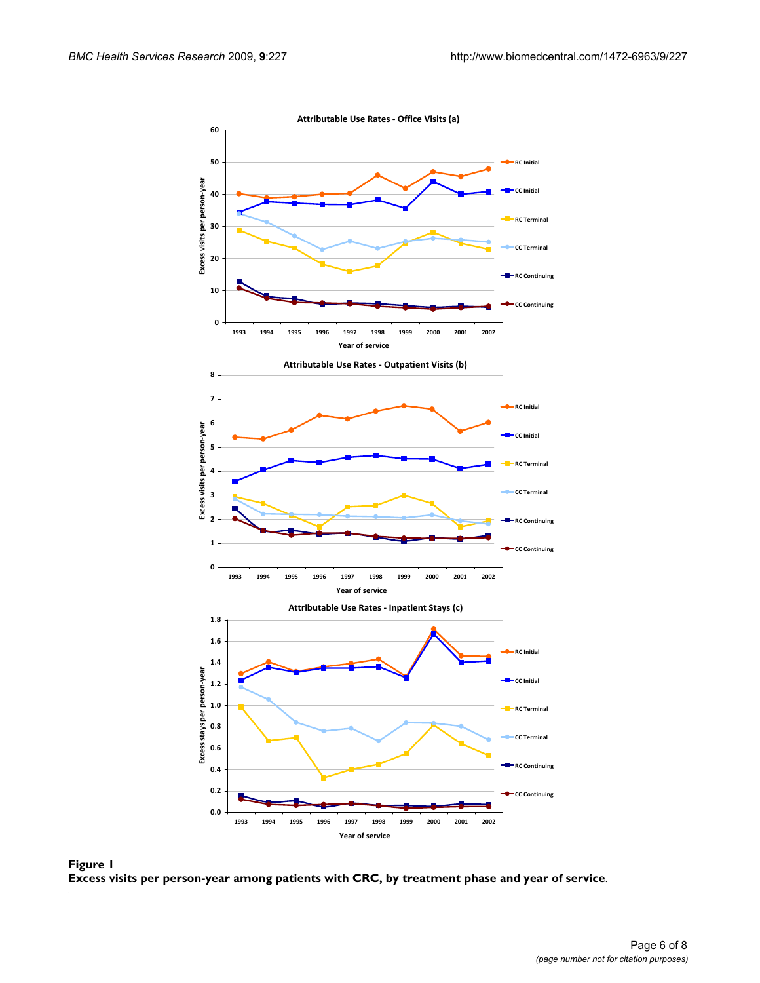<span id="page-5-0"></span>

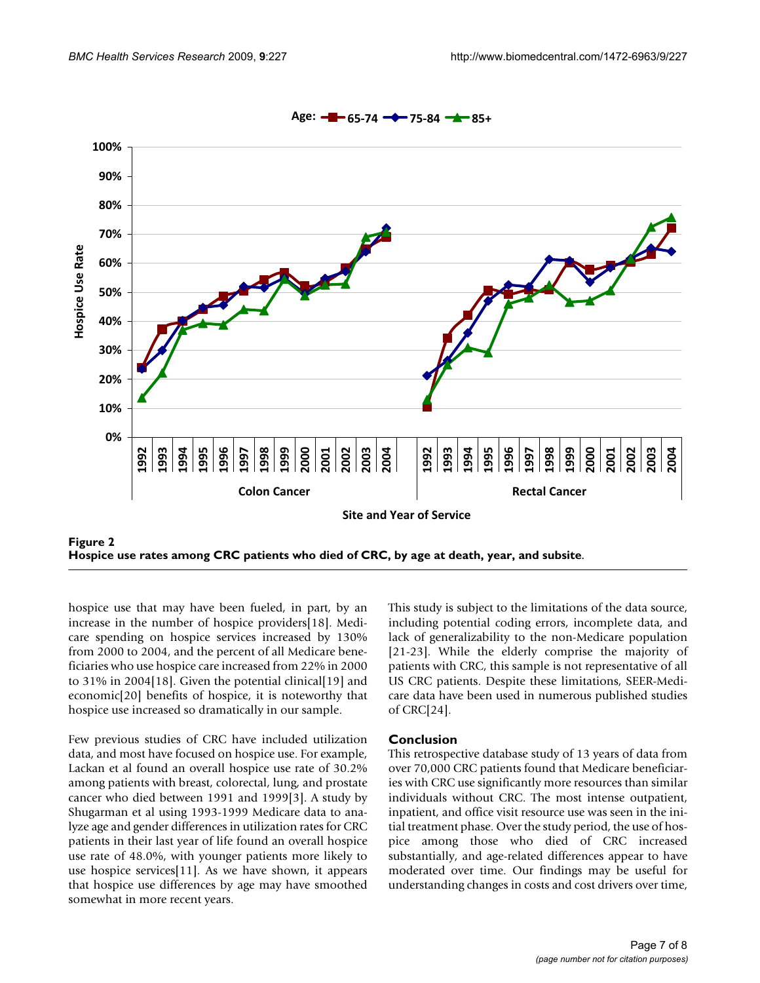<span id="page-6-0"></span>

**Hospice use rates among CRC patients who died of CRC, by age at death, year, and subsite**.

hospice use that may have been fueled, in part, by an increase in the number of hospice providers[[18\]](#page-7-11). Medicare spending on hospice services increased by 130% from 2000 to 2004, and the percent of all Medicare beneficiaries who use hospice care increased from 22% in 2000 to 31% in 2004[\[18](#page-7-11)]. Given the potential clinical[\[19\]](#page-7-12) and economic[[20\]](#page-7-13) benefits of hospice, it is noteworthy that hospice use increased so dramatically in our sample.

Few previous studies of CRC have included utilization data, and most have focused on hospice use. For example, Lackan et al found an overall hospice use rate of 30.2% among patients with breast, colorectal, lung, and prostate cancer who died between 1991 and 1999[\[3](#page-7-2)]. A study by Shugarman et al using 1993-1999 Medicare data to analyze age and gender differences in utilization rates for CRC patients in their last year of life found an overall hospice use rate of 48.0%, with younger patients more likely to use hospice services[[11](#page-7-3)]. As we have shown, it appears that hospice use differences by age may have smoothed somewhat in more recent years.

This study is subject to the limitations of the data source, including potential coding errors, incomplete data, and lack of generalizability to the non-Medicare population [[21](#page-7-14)[-23](#page-7-15)]. While the elderly comprise the majority of patients with CRC, this sample is not representative of all US CRC patients. Despite these limitations, SEER-Medicare data have been used in numerous published studies of CRC[[24\]](#page-7-16).

#### **Conclusion**

This retrospective database study of 13 years of data from over 70,000 CRC patients found that Medicare beneficiaries with CRC use significantly more resources than similar individuals without CRC. The most intense outpatient, inpatient, and office visit resource use was seen in the initial treatment phase. Over the study period, the use of hospice among those who died of CRC increased substantially, and age-related differences appear to have moderated over time. Our findings may be useful for understanding changes in costs and cost drivers over time,